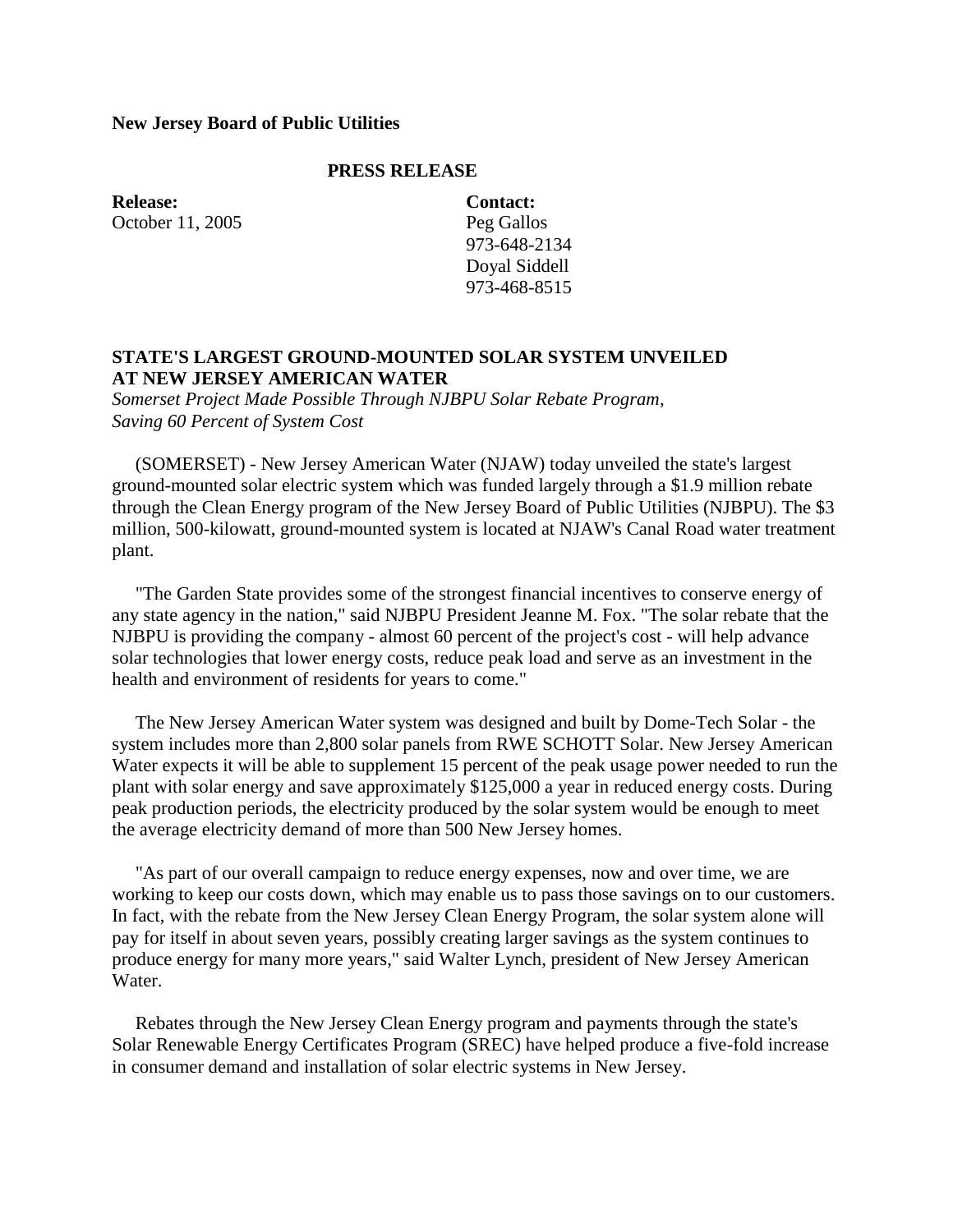## **New Jersey Board of Public Utilities**

## **PRESS RELEASE**

**Release:** October 11, 2005 **Contact:** Peg Gallos 973-648-2134 Doyal Siddell 973-468-8515

## **STATE'S LARGEST GROUND-MOUNTED SOLAR SYSTEM UNVEILED AT NEW JERSEY AMERICAN WATER**

*Somerset Project Made Possible Through NJBPU Solar Rebate Program, Saving 60 Percent of System Cost*

 (SOMERSET) - New Jersey American Water (NJAW) today unveiled the state's largest ground-mounted solar electric system which was funded largely through a \$1.9 million rebate through the Clean Energy program of the New Jersey Board of Public Utilities (NJBPU). The \$3 million, 500-kilowatt, ground-mounted system is located at NJAW's Canal Road water treatment plant.

 "The Garden State provides some of the strongest financial incentives to conserve energy of any state agency in the nation," said NJBPU President Jeanne M. Fox. "The solar rebate that the NJBPU is providing the company - almost 60 percent of the project's cost - will help advance solar technologies that lower energy costs, reduce peak load and serve as an investment in the health and environment of residents for years to come."

 The New Jersey American Water system was designed and built by Dome-Tech Solar - the system includes more than 2,800 solar panels from RWE SCHOTT Solar. New Jersey American Water expects it will be able to supplement 15 percent of the peak usage power needed to run the plant with solar energy and save approximately \$125,000 a year in reduced energy costs. During peak production periods, the electricity produced by the solar system would be enough to meet the average electricity demand of more than 500 New Jersey homes.

 "As part of our overall campaign to reduce energy expenses, now and over time, we are working to keep our costs down, which may enable us to pass those savings on to our customers. In fact, with the rebate from the New Jersey Clean Energy Program, the solar system alone will pay for itself in about seven years, possibly creating larger savings as the system continues to produce energy for many more years," said Walter Lynch, president of New Jersey American Water.

 Rebates through the New Jersey Clean Energy program and payments through the state's Solar Renewable Energy Certificates Program (SREC) have helped produce a five-fold increase in consumer demand and installation of solar electric systems in New Jersey.